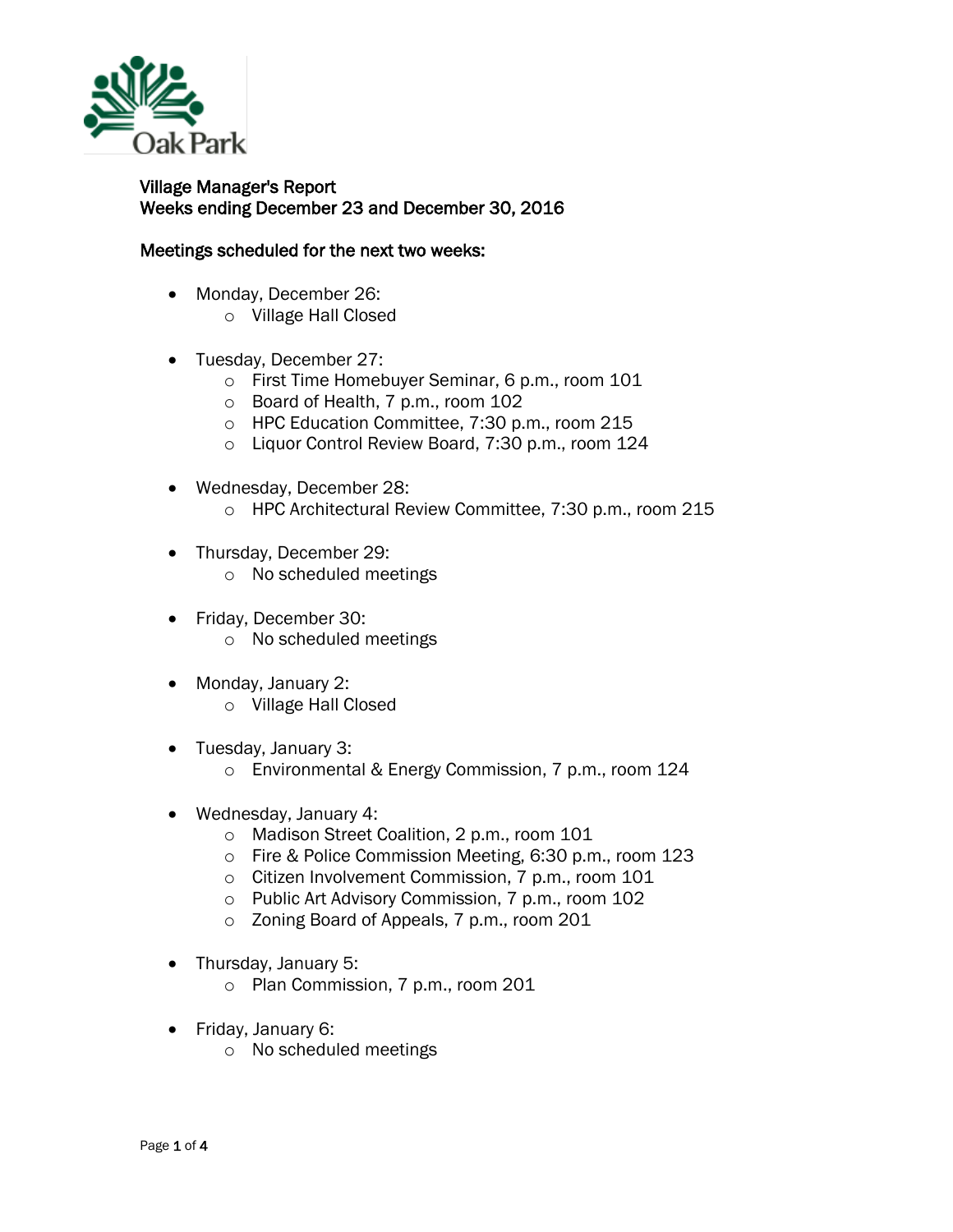

## Village Manager's Report Weeks ending December 23 and December 30, 2016

## Meetings scheduled for the next two weeks:

- Monday, December 26:
	- o Village Hall Closed
- Tuesday, December 27:
	- o First Time Homebuyer Seminar, 6 p.m., room 101
	- o Board of Health, 7 p.m., room 102
	- o HPC Education Committee, 7:30 p.m., room 215
	- o Liquor Control Review Board, 7:30 p.m., room 124
- Wednesday, December 28:
	- o HPC Architectural Review Committee, 7:30 p.m., room 215
- Thursday, December 29:
	- o No scheduled meetings
- Friday, December 30: o No scheduled meetings
- Monday, January 2: o Village Hall Closed
- Tuesday, January 3: o Environmental & Energy Commission, 7 p.m., room 124
- Wednesday, January 4:
	- o Madison Street Coalition, 2 p.m., room 101
	- o Fire & Police Commission Meeting, 6:30 p.m., room 123
	- o Citizen Involvement Commission, 7 p.m., room 101
	- o Public Art Advisory Commission, 7 p.m., room 102
	- o Zoning Board of Appeals, 7 p.m., room 201
- Thursday, January 5:
	- o Plan Commission, 7 p.m., room 201
- Friday, January 6:
	- o No scheduled meetings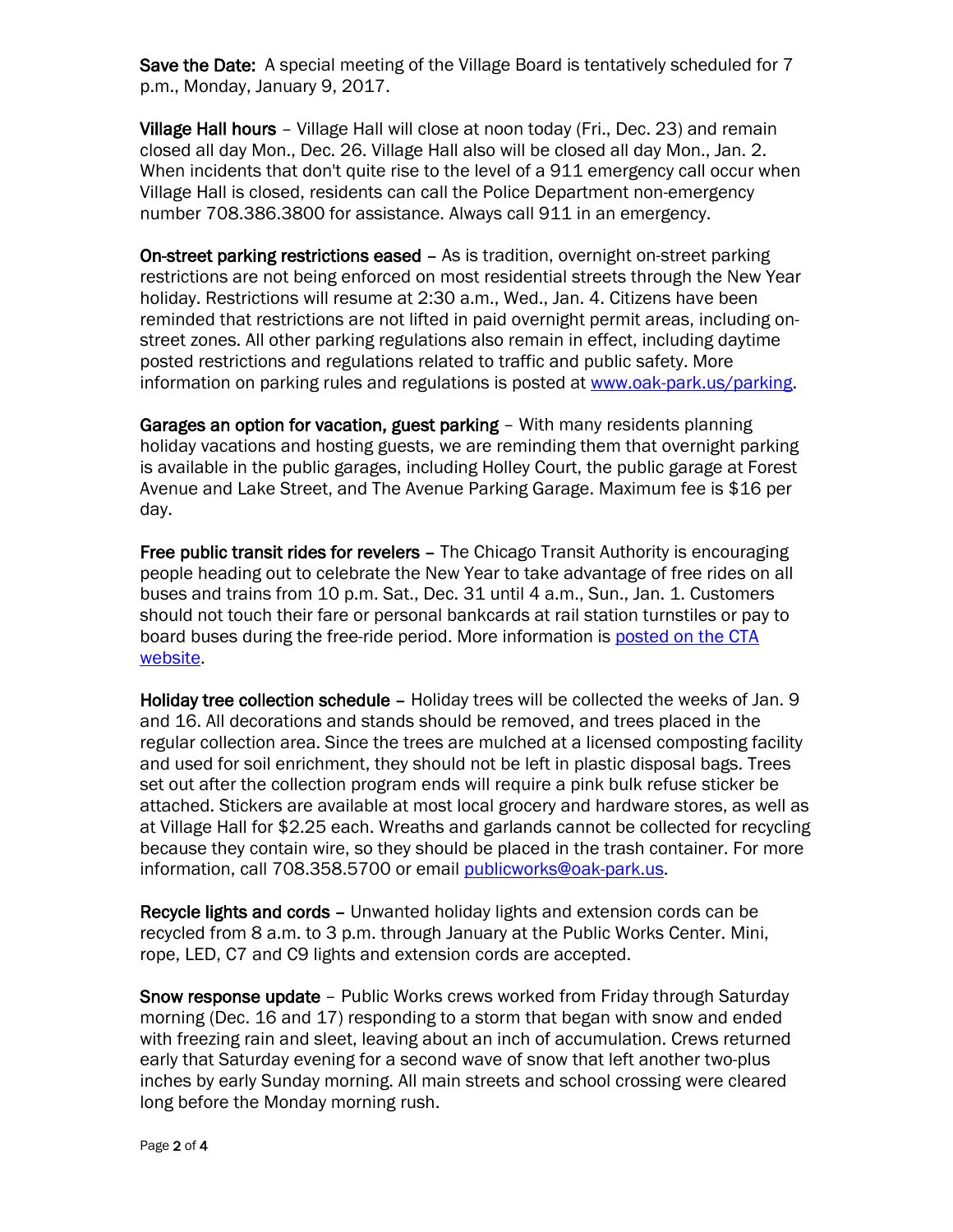Save the Date: A special meeting of the Village Board is tentatively scheduled for 7 p.m., Monday, January 9, 2017.

Village Hall hours - Village Hall will close at noon today (Fri., Dec. 23) and remain closed all day Mon., Dec. 26. Village Hall also will be closed all day Mon., Jan. 2. When incidents that don't quite rise to the level of a 911 emergency call occur when Village Hall is closed, residents can call the Police Department non-emergency number 708.386.3800 for assistance. Always call 911 in an emergency.

On-street parking restrictions eased – As is tradition, overnight on-street parking restrictions are not being enforced on most residential streets through the New Year holiday. Restrictions will resume at 2:30 a.m., Wed., Jan. 4. Citizens have been reminded that restrictions are not lifted in paid overnight permit areas, including onstreet zones. All other parking regulations also remain in effect, including daytime posted restrictions and regulations related to traffic and public safety. More information on parking rules and regulations is posted at [www.oak-park.us/parking.](http://r20.rs6.net/tn.jsp?f=001Me-ho1rHZuChsXt97TKsLF3WI2LrzDa8ShpGZo_eGMpK0YUParzuThlKbcHLBbM35U0PS9G15KCCOOJlWmCBptbVL7IdaNMijEVRfInfFT8VDtp7WRsErfc_2a-ZLIug9qxVdtWooBuHHNNkANWYhVqJJejhZdXkUsKy3EQ6JP2LU6QZJPyjtXIpwQ0QkmlSkqM46dTCCLx8kj7HRrgqBubdYYHEsNXXKKY0dw1nFpEBresrKKTJuyZ_4r5bhA5hHXjYTNb0GWjKtA9VvS1659k82fkCEVCU&c=7duohJM3SoP8S1OxN9H5AJv25ryorG4WVRWsu5J9-viW-R8gg25Utg==&ch=Hse8Lvi1VejXRKIjSa1Hca0kR0QqNnz0dIUzM2gmBLmoPIe_6mlGUA==)

Garages an option for vacation, guest parking - With many residents planning holiday vacations and hosting guests, we are reminding them that overnight parking is available in the public garages, including Holley Court, the public garage at Forest Avenue and Lake Street, and The Avenue Parking Garage. Maximum fee is \$16 per day.

Free public transit rides for revelers – The Chicago Transit Authority is encouraging people heading out to celebrate the New Year to take advantage of free rides on all buses and trains from 10 p.m. Sat., Dec. 31 until 4 a.m., Sun., Jan. 1. Customers should not touch their fare or personal bankcards at rail station turnstiles or pay to board buses during the free-ride period. More information is [posted on the CTA](http://www.transitchicago.com/news/default.aspx?Month=&Year=&Category=2&ArticleId=3618)  [website.](http://www.transitchicago.com/news/default.aspx?Month=&Year=&Category=2&ArticleId=3618)

Holiday tree collection schedule – Holiday trees will be collected the weeks of Jan. 9 and 16. All decorations and stands should be removed, and trees placed in the regular collection area. Since the trees are mulched at a licensed composting facility and used for soil enrichment, they should not be left in plastic disposal bags. Trees set out after the collection program ends will require a pink bulk refuse sticker be attached. Stickers are available at most local grocery and hardware stores, as well as at Village Hall for \$2.25 each. Wreaths and garlands cannot be collected for recycling because they contain wire, so they should be placed in the trash container. For more information, call 708.358.5700 or email [publicworks@oak-park.us.](mailto:publicworks@oak-park.us)

Recycle lights and cords – Unwanted holiday lights and extension cords can be recycled from 8 a.m. to 3 p.m. through January at the Public Works Center. Mini, rope, LED, C7 and C9 lights and extension cords are accepted.

Snow response update – Public Works crews worked from Friday through Saturday morning (Dec. 16 and 17) responding to a storm that began with snow and ended with freezing rain and sleet, leaving about an inch of accumulation. Crews returned early that Saturday evening for a second wave of snow that left another two-plus inches by early Sunday morning. All main streets and school crossing were cleared long before the Monday morning rush.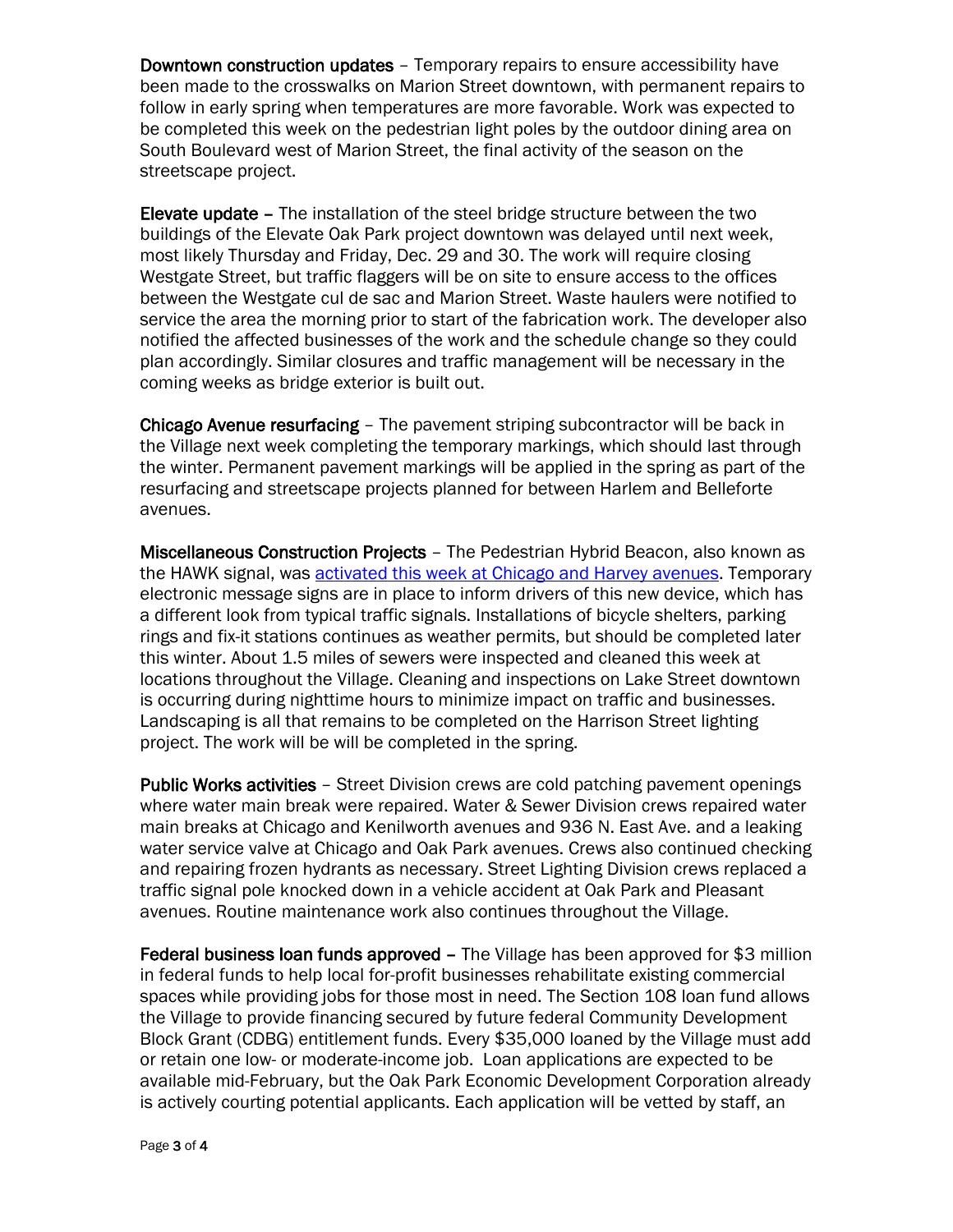Downtown construction updates – Temporary repairs to ensure accessibility have been made to the crosswalks on Marion Street downtown, with permanent repairs to follow in early spring when temperatures are more favorable. Work was expected to be completed this week on the pedestrian light poles by the outdoor dining area on South Boulevard west of Marion Street, the final activity of the season on the streetscape project.

Elevate update – The installation of the steel bridge structure between the two buildings of the Elevate Oak Park project downtown was delayed until next week, most likely Thursday and Friday, Dec. 29 and 30. The work will require closing Westgate Street, but traffic flaggers will be on site to ensure access to the offices between the Westgate cul de sac and Marion Street. Waste haulers were notified to service the area the morning prior to start of the fabrication work. The developer also notified the affected businesses of the work and the schedule change so they could plan accordingly. Similar closures and traffic management will be necessary in the coming weeks as bridge exterior is built out.

Chicago Avenue resurfacing – The pavement striping subcontractor will be back in the Village next week completing the temporary markings, which should last through the winter. Permanent pavement markings will be applied in the spring as part of the resurfacing and streetscape projects planned for between Harlem and Belleforte avenues.

Miscellaneous Construction Projects – The Pedestrian Hybrid Beacon, also known as the HAWK signal, was **activated this week at Chicago and Harvey avenues**. Temporary electronic message signs are in place to inform drivers of this new device, which has a different look from typical traffic signals. Installations of bicycle shelters, parking rings and fix-it stations continues as weather permits, but should be completed later this winter. About 1.5 miles of sewers were inspected and cleaned this week at locations throughout the Village. Cleaning and inspections on Lake Street downtown is occurring during nighttime hours to minimize impact on traffic and businesses. Landscaping is all that remains to be completed on the Harrison Street lighting project. The work will be will be completed in the spring.

Public Works activities – Street Division crews are cold patching pavement openings where water main break were repaired. Water & Sewer Division crews repaired water main breaks at Chicago and Kenilworth avenues and 936 N. East Ave. and a leaking water service valve at Chicago and Oak Park avenues. Crews also continued checking and repairing frozen hydrants as necessary. Street Lighting Division crews replaced a traffic signal pole knocked down in a vehicle accident at Oak Park and Pleasant avenues. Routine maintenance work also continues throughout the Village.

Federal business loan funds approved – The Village has been approved for \$3 million in federal funds to help local for-profit businesses rehabilitate existing commercial spaces while providing jobs for those most in need. The Section 108 loan fund allows the Village to provide financing secured by future federal Community Development Block Grant (CDBG) entitlement funds. Every \$35,000 loaned by the Village must add or retain one low- or moderate-income job. Loan applications are expected to be available mid-February, but the Oak Park Economic Development Corporation already is actively courting potential applicants. Each application will be vetted by staff, an